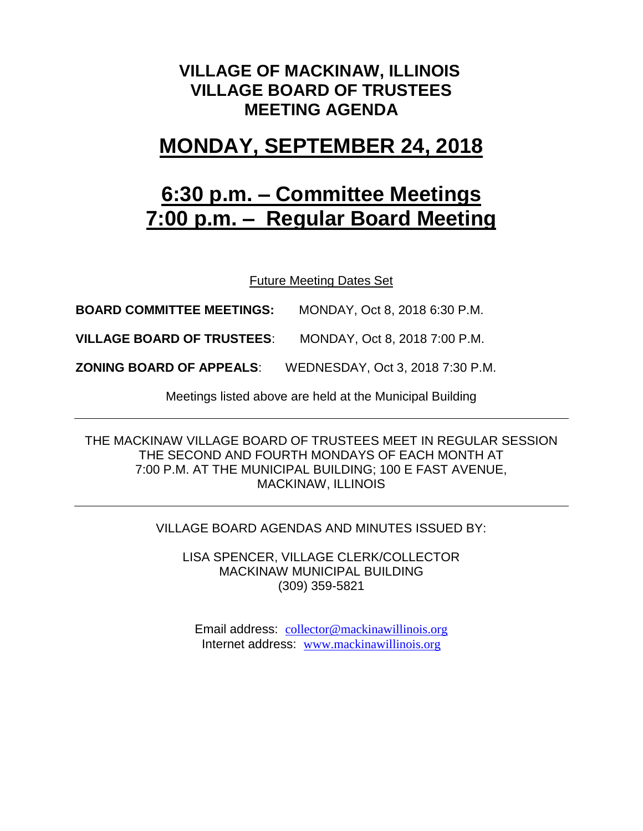### **VILLAGE OF MACKINAW, ILLINOIS VILLAGE BOARD OF TRUSTEES MEETING AGENDA**

## **MONDAY, SEPTEMBER 24, 2018**

# **6:30 p.m. – Committee Meetings 7:00 p.m. – Regular Board Meeting**

Future Meeting Dates Set

**BOARD COMMITTEE MEETINGS:** MONDAY, Oct 8, 2018 6:30 P.M.

**VILLAGE BOARD OF TRUSTEES**: MONDAY, Oct 8, 2018 7:00 P.M.

**ZONING BOARD OF APPEALS**: WEDNESDAY, Oct 3, 2018 7:30 P.M.

Meetings listed above are held at the Municipal Building

THE MACKINAW VILLAGE BOARD OF TRUSTEES MEET IN REGULAR SESSION THE SECOND AND FOURTH MONDAYS OF EACH MONTH AT 7:00 P.M. AT THE MUNICIPAL BUILDING; 100 E FAST AVENUE, MACKINAW, ILLINOIS

#### VILLAGE BOARD AGENDAS AND MINUTES ISSUED BY:

LISA SPENCER, VILLAGE CLERK/COLLECTOR MACKINAW MUNICIPAL BUILDING (309) 359-5821

Email address: [collector@mackinawillinois.org](mailto:collector@mackinawillinois.org) Internet address: [www.mackinawillinois.org](http://www.mackinawillinois.org/)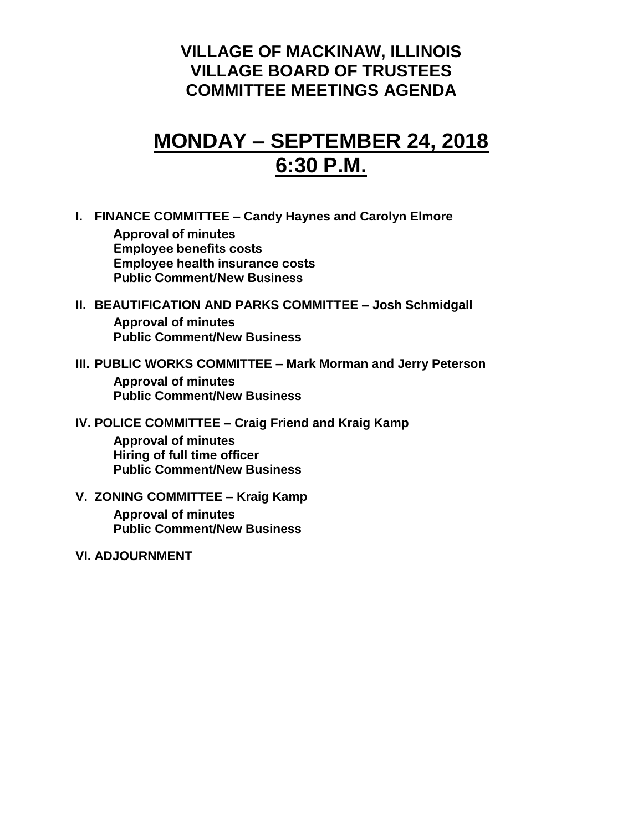### **VILLAGE OF MACKINAW, ILLINOIS VILLAGE BOARD OF TRUSTEES COMMITTEE MEETINGS AGENDA**

## **MONDAY – SEPTEMBER 24, 2018 6:30 P.M.**

**I. FINANCE COMMITTEE – Candy Haynes and Carolyn Elmore**

**Approval of minutes Employee benefits costs Employee health insurance costs Public Comment/New Business**

### **II. BEAUTIFICATION AND PARKS COMMITTEE – Josh Schmidgall Approval of minutes Public Comment/New Business**

**III. PUBLIC WORKS COMMITTEE – Mark Morman and Jerry Peterson**

**Approval of minutes Public Comment/New Business**

**IV. POLICE COMMITTEE – Craig Friend and Kraig Kamp**

**Approval of minutes Hiring of full time officer Public Comment/New Business**

- **V. ZONING COMMITTEE – Kraig Kamp Approval of minutes Public Comment/New Business**
- **VI. ADJOURNMENT**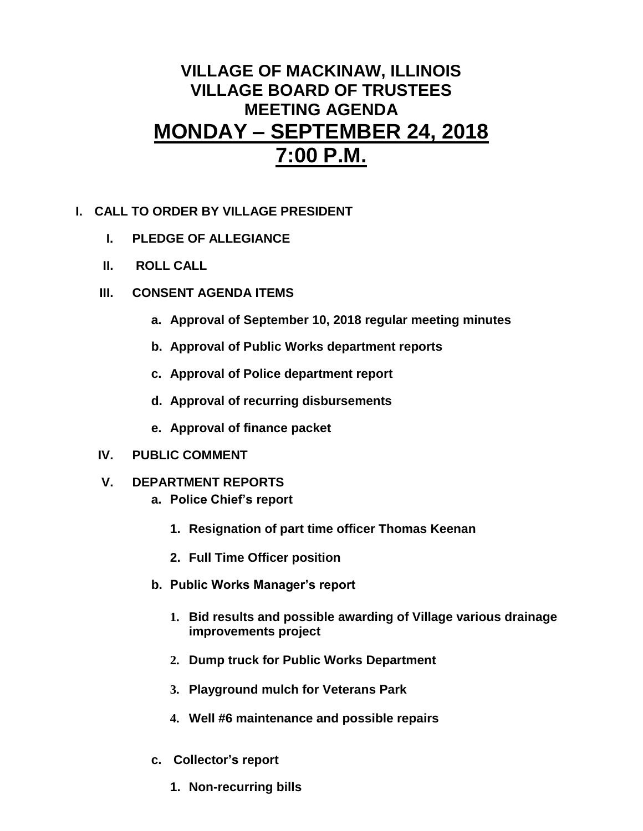## **VILLAGE OF MACKINAW, ILLINOIS VILLAGE BOARD OF TRUSTEES MEETING AGENDA MONDAY – SEPTEMBER 24, 2018 7:00 P.M.**

- **I. CALL TO ORDER BY VILLAGE PRESIDENT**
	- **I. PLEDGE OF ALLEGIANCE**
	- **II. ROLL CALL**
	- **III. CONSENT AGENDA ITEMS** 
		- **a. Approval of September 10, 2018 regular meeting minutes**
		- **b. Approval of Public Works department reports**
		- **c. Approval of Police department report**
		- **d. Approval of recurring disbursements**
		- **e. Approval of finance packet**
	- **IV. PUBLIC COMMENT**
	- **V. DEPARTMENT REPORTS** 
		- **a. Police Chief's report**
			- **1. Resignation of part time officer Thomas Keenan**
			- **2. Full Time Officer position**
		- **b. Public Works Manager's report**
			- **1. Bid results and possible awarding of Village various drainage improvements project**
			- **2. Dump truck for Public Works Department**
			- **3. Playground mulch for Veterans Park**
			- **4. Well #6 maintenance and possible repairs**
		- **c. Collector's report**
			- **1. Non-recurring bills**